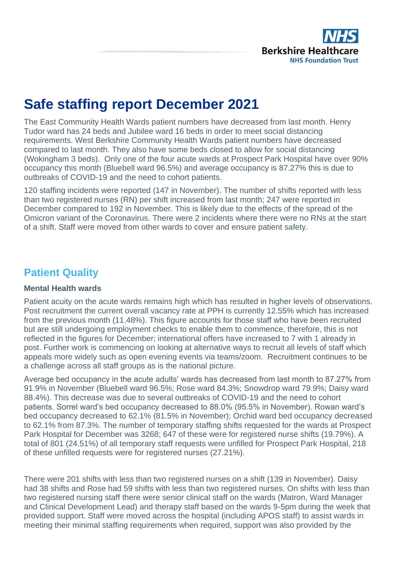

# **Safe staffing report December 2021**

The East Community Health Wards patient numbers have decreased from last month. Henry Tudor ward has 24 beds and Jubilee ward 16 beds in order to meet social distancing requirements. West Berkshire Community Health Wards patient numbers have decreased compared to last month. They also have some beds closed to allow for social distancing (Wokingham 3 beds). Only one of the four acute wards at Prospect Park Hospital have over 90% occupancy this month (Bluebell ward 96.5%) and average occupancy is 87.27% this is due to outbreaks of COVID-19 and the need to cohort patients.

120 staffing incidents were reported (147 in November). The number of shifts reported with less than two registered nurses (RN) per shift increased from last month; 247 were reported in December compared to 192 in November. This is likely due to the effects of the spread of the Omicron variant of the Coronavirus. There were 2 incidents where there were no RNs at the start of a shift. Staff were moved from other wards to cover and ensure patient safety.

# **Patient Quality**

#### **Mental Health wards**

Patient acuity on the acute wards remains high which has resulted in higher levels of observations. Post recruitment the current overall vacancy rate at PPH is currently 12.55% which has increased from the previous month (11.48%). This figure accounts for those staff who have been recruited but are still undergoing employment checks to enable them to commence, therefore, this is not reflected in the figures for December; international offers have increased to 7 with 1 already in post. Further work is commencing on looking at alternative ways to recruit all levels of staff which appeals more widely such as open evening events via teams/zoom. Recruitment continues to be a challenge across all staff groups as is the national picture.

Average bed occupancy in the acute adults' wards has decreased from last month to 87.27% from 91.9% in November (Bluebell ward 96.5%; Rose ward 84.3%; Snowdrop ward 79.9%; Daisy ward 88.4%). This decrease was due to several outbreaks of COVID-19 and the need to cohort patients. Sorrel ward's bed occupancy decreased to 88.0% (95.5% in November). Rowan ward's bed occupancy decreased to 62.1% (81.5% in November); Orchid ward bed occupancy decreased to 62.1% from 87.3%. The number of temporary staffing shifts requested for the wards at Prospect Park Hospital for December was 3268; 647 of these were for registered nurse shifts (19.79%). A total of 801 (24.51%) of all temporary staff requests were unfilled for Prospect Park Hospital, 218 of these unfilled requests were for registered nurses (27.21%).

There were 201 shifts with less than two registered nurses on a shift (139 in November). Daisy had 38 shifts and Rose had 59 shifts with less than two registered nurses. On shifts with less than two registered nursing staff there were senior clinical staff on the wards (Matron, Ward Manager and Clinical Development Lead) and therapy staff based on the wards 9-5pm during the week that provided support. Staff were moved across the hospital (including APOS staff) to assist wards in meeting their minimal staffing requirements when required, support was also provided by the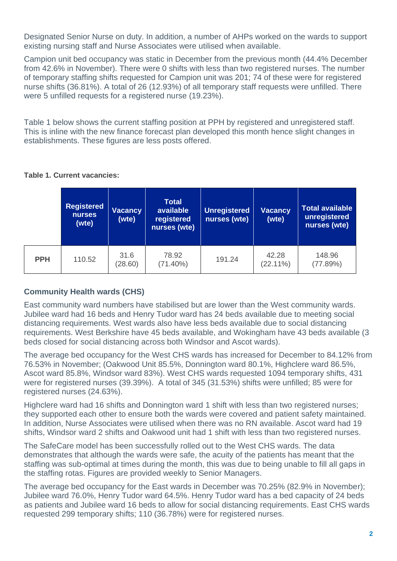Designated Senior Nurse on duty. In addition, a number of AHPs worked on the wards to support existing nursing staff and Nurse Associates were utilised when available.

Campion unit bed occupancy was static in December from the previous month (44.4% December from 42.6% in November). There were 0 shifts with less than two registered nurses. The number of temporary staffing shifts requested for Campion unit was 201; 74 of these were for registered nurse shifts (36.81%). A total of 26 (12.93%) of all temporary staff requests were unfilled. There were 5 unfilled requests for a registered nurse (19.23%).

Table 1 below shows the current staffing position at PPH by registered and unregistered staff. This is inline with the new finance forecast plan developed this month hence slight changes in establishments. These figures are less posts offered.

|            | <b>Registered</b><br>nurses<br>(wte) | <b>Vacancy</b><br>(wte) |                      | <b>Unregistered</b><br>nurses (wte) | <b>Vacancy</b><br>(wte) | <b>Total available</b><br>unregistered<br>nurses (wte) |  |  |
|------------|--------------------------------------|-------------------------|----------------------|-------------------------------------|-------------------------|--------------------------------------------------------|--|--|
| <b>PPH</b> | 110.52                               | 31.6<br>(28.60)         | 78.92<br>$(71.40\%)$ | 191.24                              | 42.28<br>$(22.11\%)$    | 148.96<br>(77.89%)                                     |  |  |

# **Table 1. Current vacancies:**

# **Community Health wards (CHS)**

East community ward numbers have stabilised but are lower than the West community wards. Jubilee ward had 16 beds and Henry Tudor ward has 24 beds available due to meeting social distancing requirements. West wards also have less beds available due to social distancing requirements. West Berkshire have 45 beds available, and Wokingham have 43 beds available (3 beds closed for social distancing across both Windsor and Ascot wards).

The average bed occupancy for the West CHS wards has increased for December to 84.12% from 76.53% in November; (Oakwood Unit 85.5%, Donnington ward 80.1%, Highclere ward 86.5%, Ascot ward 85.8%, Windsor ward 83%). West CHS wards requested 1094 temporary shifts, 431 were for registered nurses (39.39%). A total of 345 (31.53%) shifts were unfilled; 85 were for registered nurses (24.63%).

Highclere ward had 16 shifts and Donnington ward 1 shift with less than two registered nurses; they supported each other to ensure both the wards were covered and patient safety maintained. In addition, Nurse Associates were utilised when there was no RN available. Ascot ward had 19 shifts, Windsor ward 2 shifts and Oakwood unit had 1 shift with less than two registered nurses.

The SafeCare model has been successfully rolled out to the West CHS wards. The data demonstrates that although the wards were safe, the acuity of the patients has meant that the staffing was sub-optimal at times during the month, this was due to being unable to fill all gaps in the staffing rotas. Figures are provided weekly to Senior Managers.

The average bed occupancy for the East wards in December was 70.25% (82.9% in November); Jubilee ward 76.0%, Henry Tudor ward 64.5%. Henry Tudor ward has a bed capacity of 24 beds as patients and Jubilee ward 16 beds to allow for social distancing requirements. East CHS wards requested 299 temporary shifts; 110 (36.78%) were for registered nurses.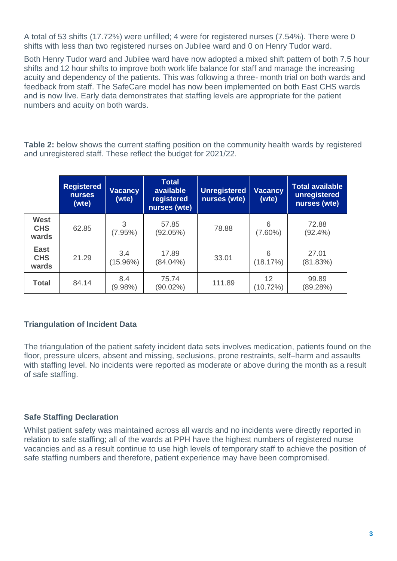A total of 53 shifts (17.72%) were unfilled; 4 were for registered nurses (7.54%). There were 0 shifts with less than two registered nurses on Jubilee ward and 0 on Henry Tudor ward.

Both Henry Tudor ward and Jubilee ward have now adopted a mixed shift pattern of both 7.5 hour shifts and 12 hour shifts to improve both work life balance for staff and manage the increasing acuity and dependency of the patients. This was following a three- month trial on both wards and feedback from staff. The SafeCare model has now been implemented on both East CHS wards and is now live. Early data demonstrates that staffing levels are appropriate for the patient numbers and acuity on both wards.

**Table 2:** below shows the current staffing position on the community health wards by registered and unregistered staff. These reflect the budget for 2021/22.

|                                    | <b>Registered</b><br><b>nurses</b><br>(wte) | <b>Vacancy</b><br>(wte) | <b>Total</b><br>available<br>registered<br>nurses (wte) | <b>Unregistered</b><br>nurses (wte) | Vacancy<br>(wte)  | <b>Total available</b><br>unregistered<br>nurses (wte) |
|------------------------------------|---------------------------------------------|-------------------------|---------------------------------------------------------|-------------------------------------|-------------------|--------------------------------------------------------|
| <b>West</b><br><b>CHS</b><br>wards | 62.85                                       | 3<br>(7.95%)            | 57.85<br>(92.05%)                                       | 78.88                               | 6<br>$(7.60\%)$   | 72.88<br>$(92.4\%)$                                    |
| <b>East</b><br><b>CHS</b><br>wards | 21.29                                       | 3.4<br>$(15.96\%)$      | 17.89<br>$(84.04\%)$                                    | 33.01                               | 6<br>(18.17%)     | 27.01<br>(81.83%)                                      |
| <b>Total</b>                       | 84.14                                       | 8.4<br>$(9.98\%)$       | 75.74<br>$(90.02\%)$                                    | 111.89                              | 12<br>$(10.72\%)$ | 99.89<br>(89.28%)                                      |

# **Triangulation of Incident Data**

The triangulation of the patient safety incident data sets involves medication, patients found on the floor, pressure ulcers, absent and missing, seclusions, prone restraints, self–harm and assaults with staffing level. No incidents were reported as moderate or above during the month as a result of safe staffing.

# **Safe Staffing Declaration**

Whilst patient safety was maintained across all wards and no incidents were directly reported in relation to safe staffing; all of the wards at PPH have the highest numbers of registered nurse vacancies and as a result continue to use high levels of temporary staff to achieve the position of safe staffing numbers and therefore, patient experience may have been compromised.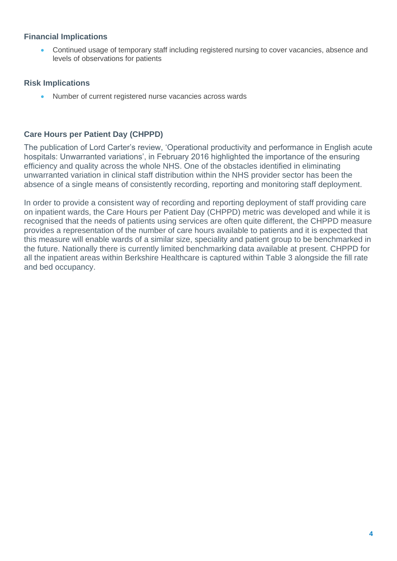#### **Financial Implications**

• Continued usage of temporary staff including registered nursing to cover vacancies, absence and levels of observations for patients

#### **Risk Implications**

• Number of current registered nurse vacancies across wards

#### **Care Hours per Patient Day (CHPPD)**

The publication of Lord Carter's review, 'Operational productivity and performance in English acute hospitals: Unwarranted variations', in February 2016 highlighted the importance of the ensuring efficiency and quality across the whole NHS. One of the obstacles identified in eliminating unwarranted variation in clinical staff distribution within the NHS provider sector has been the absence of a single means of consistently recording, reporting and monitoring staff deployment.

In order to provide a consistent way of recording and reporting deployment of staff providing care on inpatient wards, the Care Hours per Patient Day (CHPPD) metric was developed and while it is recognised that the needs of patients using services are often quite different, the CHPPD measure provides a representation of the number of care hours available to patients and it is expected that this measure will enable wards of a similar size, speciality and patient group to be benchmarked in the future. Nationally there is currently limited benchmarking data available at present. CHPPD for all the inpatient areas within Berkshire Healthcare is captured within Table 3 alongside the fill rate and bed occupancy.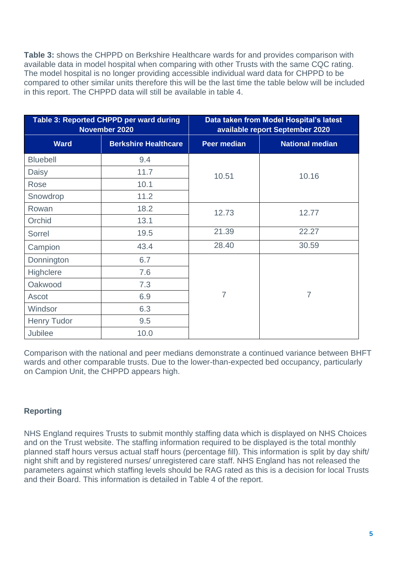**Table 3:** shows the CHPPD on Berkshire Healthcare wards for and provides comparison with available data in model hospital when comparing with other Trusts with the same CQC rating. The model hospital is no longer providing accessible individual ward data for CHPPD to be compared to other similar units therefore this will be the last time the table below will be included in this report. The CHPPD data will still be available in table 4.

|                    | Table 3: Reported CHPPD per ward during<br>November 2020 | Data taken from Model Hospital's latest<br>available report September 2020 |                        |  |  |  |  |  |  |  |
|--------------------|----------------------------------------------------------|----------------------------------------------------------------------------|------------------------|--|--|--|--|--|--|--|
| <b>Ward</b>        | <b>Berkshire Healthcare</b>                              | Peer median                                                                | <b>National median</b> |  |  |  |  |  |  |  |
| <b>Bluebell</b>    | 9.4                                                      |                                                                            |                        |  |  |  |  |  |  |  |
| Daisy              | 11.7                                                     | 10.51                                                                      | 10.16                  |  |  |  |  |  |  |  |
| Rose               | 10.1                                                     |                                                                            |                        |  |  |  |  |  |  |  |
| Snowdrop           | 11.2                                                     |                                                                            |                        |  |  |  |  |  |  |  |
| Rowan              | 18.2                                                     | 12.73                                                                      | 12.77                  |  |  |  |  |  |  |  |
| Orchid             | 13.1                                                     |                                                                            |                        |  |  |  |  |  |  |  |
| Sorrel             | 19.5                                                     | 21.39                                                                      | 22.27                  |  |  |  |  |  |  |  |
| Campion            | 43.4                                                     | 28.40                                                                      | 30.59                  |  |  |  |  |  |  |  |
| Donnington         | 6.7                                                      |                                                                            |                        |  |  |  |  |  |  |  |
| Highclere          | 7.6                                                      |                                                                            |                        |  |  |  |  |  |  |  |
| Oakwood            | 7.3                                                      |                                                                            |                        |  |  |  |  |  |  |  |
| Ascot              | 6.9                                                      | $\overline{7}$                                                             | $\overline{7}$         |  |  |  |  |  |  |  |
| Windsor            | 6.3                                                      |                                                                            |                        |  |  |  |  |  |  |  |
| <b>Henry Tudor</b> | 9.5                                                      |                                                                            |                        |  |  |  |  |  |  |  |
| Jubilee            | 10.0                                                     |                                                                            |                        |  |  |  |  |  |  |  |

Comparison with the national and peer medians demonstrate a continued variance between BHFT wards and other comparable trusts. Due to the lower-than-expected bed occupancy, particularly on Campion Unit, the CHPPD appears high.

# **Reporting**

NHS England requires Trusts to submit monthly staffing data which is displayed on NHS Choices and on the Trust website. The staffing information required to be displayed is the total monthly planned staff hours versus actual staff hours (percentage fill). This information is split by day shift/ night shift and by registered nurses/ unregistered care staff. NHS England has not released the parameters against which staffing levels should be RAG rated as this is a decision for local Trusts and their Board. This information is detailed in Table 4 of the report.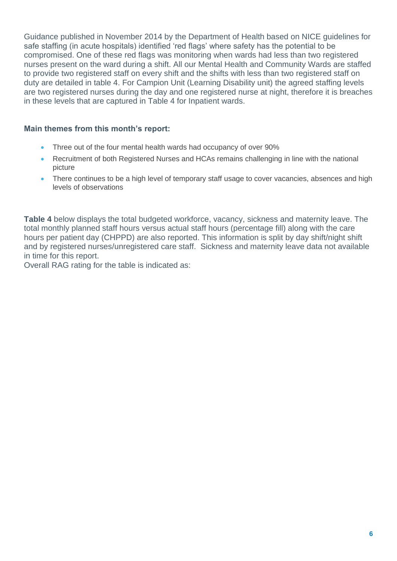Guidance published in November 2014 by the Department of Health based on NICE guidelines for safe staffing (in acute hospitals) identified 'red flags' where safety has the potential to be compromised. One of these red flags was monitoring when wards had less than two registered nurses present on the ward during a shift. All our Mental Health and Community Wards are staffed to provide two registered staff on every shift and the shifts with less than two registered staff on duty are detailed in table 4. For Campion Unit (Learning Disability unit) the agreed staffing levels are two registered nurses during the day and one registered nurse at night, therefore it is breaches in these levels that are captured in Table 4 for Inpatient wards.

#### **Main themes from this month's report:**

- Three out of the four mental health wards had occupancy of over 90%
- Recruitment of both Registered Nurses and HCAs remains challenging in line with the national picture
- There continues to be a high level of temporary staff usage to cover vacancies, absences and high levels of observations

**Table 4** below displays the total budgeted workforce, vacancy, sickness and maternity leave. The total monthly planned staff hours versus actual staff hours (percentage fill) along with the care hours per patient day (CHPPD) are also reported. This information is split by day shift/night shift and by registered nurses/unregistered care staff. Sickness and maternity leave data not available in time for this report.

Overall RAG rating for the table is indicated as: